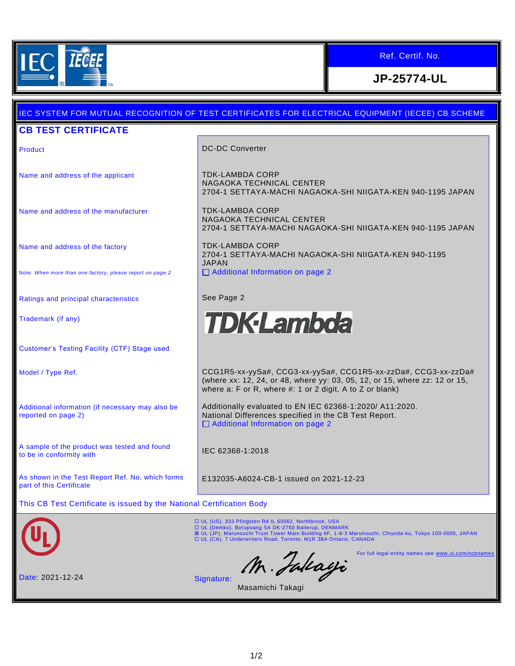

**CB TEST CERTIFICATE**

## Ref. Certif. No.

**JP-25774-UL**

## Product **DC-DC Converter** Name and address of the applicant TDK-LAMBDA CORP NAGAOKA TECHNICAL CENTER 2704-1 SETTAYA-MACHI NAGAOKA-SHI NIIGATA-KEN 940-1195 JAPAN Name and address of the manufacturer TELLAMBDA CORP NAGAOKA TECHNICAL CENTER 2704-1 SETTAYA-MACHI NAGAOKA-SHI NIIGATA-KEN 940-1195 JAPAN TDK-LAMBDA CORP Name and address of the factory 2704-1 SETTAYA-MACHI NAGAOKA-SHI NIIGATA-KEN 940-1195 JAPAN □ Additional Information on page 2 Note: *When more than one factory, please report on page 2* Ratings and principal characteristics **See Page 2 TDK·Lambda** Trademark (if any) Customer's Testing Facility (CTF) Stage used Model / Type Ref. CCG1R5-xx-yySa#, CCG3-xx-yySa#, CCG1R5-xx-zzDa#, CCG3-xx-zzDa# (where xx: 12, 24, or 48, where yy: 03, 05, 12, or 15, where zz: 12 or 15, where a: F or R, where #: 1 or 2 digit, A to Z or blank) Additionally evaluated to EN IEC 62368-1:2020/ A11:2020. Additional information (if necessary may also be reported on page 2) National Differences specified in the CB Test Report.  $\Box$  Additional Information on page 2 A sample of the product was tested and found A sample of the product was tested and found<br>to be in conformity with As shown in the Test Report Ref. No. which forms E132035-A6024-CB-1 issued on 2021-12-23 part of this Certificate This CB Test Certificate is issued by the National Certification Body ロ UL (US), 333 Pfingsten Rd IL 60062, Northbrook, USA<br>ロ UL (Demko), Borupvang 5A DK-2750 Ballerup, DENMARK<br>図 UL (JP), Marunouchi Trust Tower Main Building 6F, 1-8-3 Marunouchi, Chiyoda-ku, Tokyo 100-0005, JAPAN UL (CA), 7 Underwriters Road, Toronto, M1R 3B4 Ontario, CANADA M. Falcagi For full legal entity names see [www.ul.com/ncbnames](http://www.ul.com/ncbnames) Date: 2021-12-24 Signature: Masamichi Takagi1/2

IEC SYSTEM FOR MUTUAL RECOGNITION OF TEST CERTIFICATES FOR ELECTRICAL EQUIPMENT (IECEE) CB SCHEME